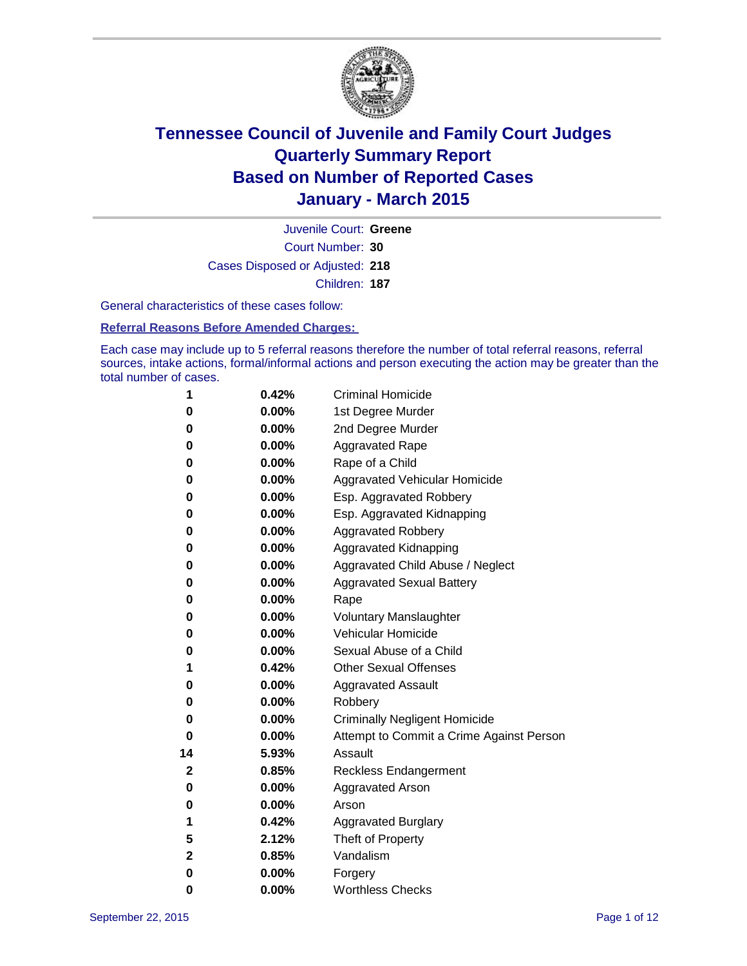

Court Number: **30** Juvenile Court: **Greene** Cases Disposed or Adjusted: **218** Children: **187**

General characteristics of these cases follow:

**Referral Reasons Before Amended Charges:** 

Each case may include up to 5 referral reasons therefore the number of total referral reasons, referral sources, intake actions, formal/informal actions and person executing the action may be greater than the total number of cases.

| 1  | 0.42%    | <b>Criminal Homicide</b>                 |
|----|----------|------------------------------------------|
| 0  | 0.00%    | 1st Degree Murder                        |
| 0  | 0.00%    | 2nd Degree Murder                        |
| 0  | 0.00%    | <b>Aggravated Rape</b>                   |
| 0  | 0.00%    | Rape of a Child                          |
| 0  | 0.00%    | Aggravated Vehicular Homicide            |
| 0  | 0.00%    | Esp. Aggravated Robbery                  |
| 0  | 0.00%    | Esp. Aggravated Kidnapping               |
| 0  | 0.00%    | <b>Aggravated Robbery</b>                |
| 0  | 0.00%    | <b>Aggravated Kidnapping</b>             |
| 0  | 0.00%    | Aggravated Child Abuse / Neglect         |
| 0  | 0.00%    | <b>Aggravated Sexual Battery</b>         |
| 0  | 0.00%    | Rape                                     |
| 0  | $0.00\%$ | <b>Voluntary Manslaughter</b>            |
| 0  | 0.00%    | <b>Vehicular Homicide</b>                |
| 0  | 0.00%    | Sexual Abuse of a Child                  |
| 1  | 0.42%    | <b>Other Sexual Offenses</b>             |
| 0  | 0.00%    | <b>Aggravated Assault</b>                |
| 0  | 0.00%    | Robbery                                  |
| 0  | 0.00%    | <b>Criminally Negligent Homicide</b>     |
| 0  | 0.00%    | Attempt to Commit a Crime Against Person |
| 14 | 5.93%    | Assault                                  |
| 2  | 0.85%    | <b>Reckless Endangerment</b>             |
| 0  | $0.00\%$ | <b>Aggravated Arson</b>                  |
| 0  | 0.00%    | Arson                                    |
| 1  | 0.42%    | <b>Aggravated Burglary</b>               |
| 5  | 2.12%    | Theft of Property                        |
| 2  | 0.85%    | Vandalism                                |
| 0  | 0.00%    | Forgery                                  |
| 0  | 0.00%    | <b>Worthless Checks</b>                  |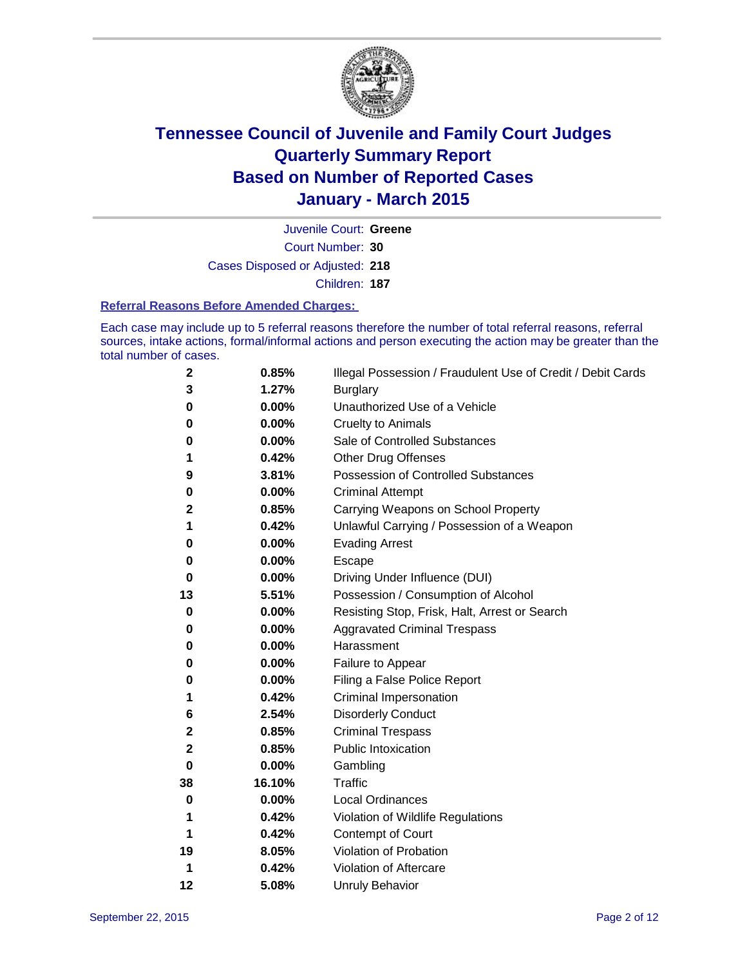

Court Number: **30** Juvenile Court: **Greene** Cases Disposed or Adjusted: **218** Children: **187**

#### **Referral Reasons Before Amended Charges:**

Each case may include up to 5 referral reasons therefore the number of total referral reasons, referral sources, intake actions, formal/informal actions and person executing the action may be greater than the total number of cases.

| 2        | 0.85%  | Illegal Possession / Fraudulent Use of Credit / Debit Cards |
|----------|--------|-------------------------------------------------------------|
| 3        | 1.27%  | <b>Burglary</b>                                             |
| 0        | 0.00%  | Unauthorized Use of a Vehicle                               |
| 0        | 0.00%  | <b>Cruelty to Animals</b>                                   |
| 0        | 0.00%  | Sale of Controlled Substances                               |
| 1        | 0.42%  | <b>Other Drug Offenses</b>                                  |
| 9        | 3.81%  | <b>Possession of Controlled Substances</b>                  |
| 0        | 0.00%  | <b>Criminal Attempt</b>                                     |
| 2        | 0.85%  | Carrying Weapons on School Property                         |
| 1        | 0.42%  | Unlawful Carrying / Possession of a Weapon                  |
| 0        | 0.00%  | <b>Evading Arrest</b>                                       |
| 0        | 0.00%  | Escape                                                      |
| 0        | 0.00%  | Driving Under Influence (DUI)                               |
| 13       | 5.51%  | Possession / Consumption of Alcohol                         |
| 0        | 0.00%  | Resisting Stop, Frisk, Halt, Arrest or Search               |
| 0        | 0.00%  | <b>Aggravated Criminal Trespass</b>                         |
| 0        | 0.00%  | Harassment                                                  |
| 0        | 0.00%  | Failure to Appear                                           |
| 0        | 0.00%  | Filing a False Police Report                                |
| 1        | 0.42%  | Criminal Impersonation                                      |
| 6        | 2.54%  | <b>Disorderly Conduct</b>                                   |
| 2        | 0.85%  | <b>Criminal Trespass</b>                                    |
| 2        | 0.85%  | <b>Public Intoxication</b>                                  |
| $\bf{0}$ | 0.00%  | Gambling                                                    |
| 38       | 16.10% | <b>Traffic</b>                                              |
| 0        | 0.00%  | <b>Local Ordinances</b>                                     |
| 1        | 0.42%  | Violation of Wildlife Regulations                           |
| 1        | 0.42%  | Contempt of Court                                           |
| 19       | 8.05%  | Violation of Probation                                      |
| 1        | 0.42%  | Violation of Aftercare                                      |
| 12       | 5.08%  | <b>Unruly Behavior</b>                                      |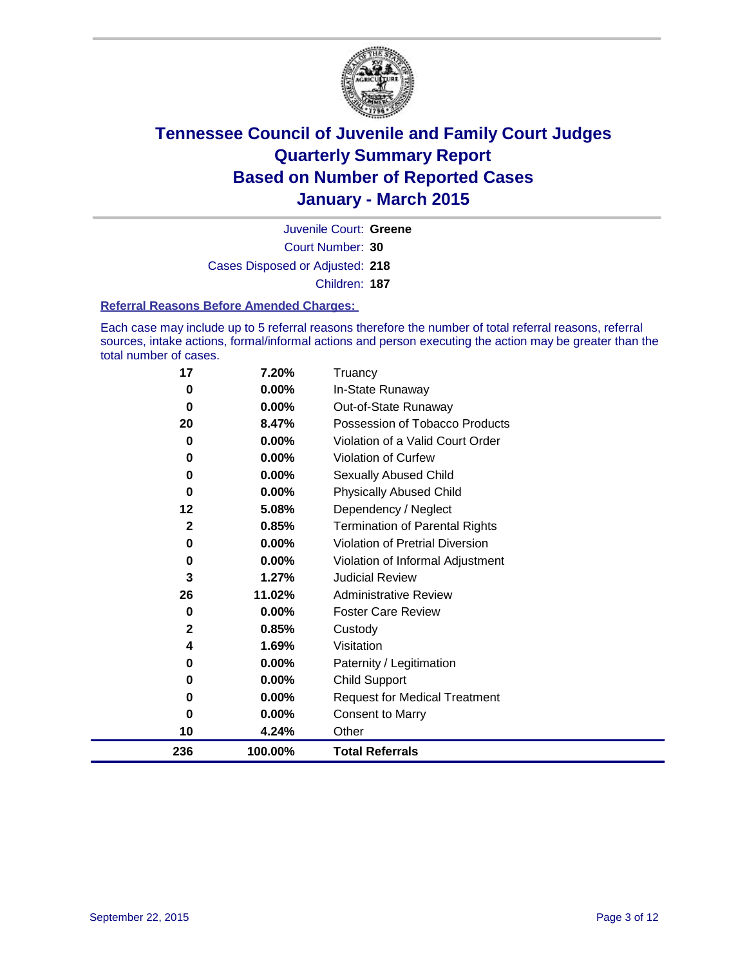

Court Number: **30** Juvenile Court: **Greene** Cases Disposed or Adjusted: **218** Children: **187**

#### **Referral Reasons Before Amended Charges:**

Each case may include up to 5 referral reasons therefore the number of total referral reasons, referral sources, intake actions, formal/informal actions and person executing the action may be greater than the total number of cases.

| 17           | 7.20%   | Truancy                                |
|--------------|---------|----------------------------------------|
| 0            | 0.00%   | In-State Runaway                       |
| 0            | 0.00%   | Out-of-State Runaway                   |
| 20           | 8.47%   | Possession of Tobacco Products         |
| 0            | 0.00%   | Violation of a Valid Court Order       |
| 0            | 0.00%   | Violation of Curfew                    |
| 0            | 0.00%   | Sexually Abused Child                  |
| 0            | 0.00%   | <b>Physically Abused Child</b>         |
| 12           | 5.08%   | Dependency / Neglect                   |
| 2            | 0.85%   | <b>Termination of Parental Rights</b>  |
| 0            | 0.00%   | <b>Violation of Pretrial Diversion</b> |
| 0            | 0.00%   | Violation of Informal Adjustment       |
| 3            | 1.27%   | <b>Judicial Review</b>                 |
| 26           | 11.02%  | <b>Administrative Review</b>           |
| 0            | 0.00%   | <b>Foster Care Review</b>              |
| $\mathbf{2}$ | 0.85%   | Custody                                |
| 4            | 1.69%   | Visitation                             |
| 0            | 0.00%   | Paternity / Legitimation               |
| 0            | 0.00%   | <b>Child Support</b>                   |
| 0            | 0.00%   | <b>Request for Medical Treatment</b>   |
| 0            | 0.00%   | <b>Consent to Marry</b>                |
| 10           | 4.24%   | Other                                  |
| 236          | 100.00% | <b>Total Referrals</b>                 |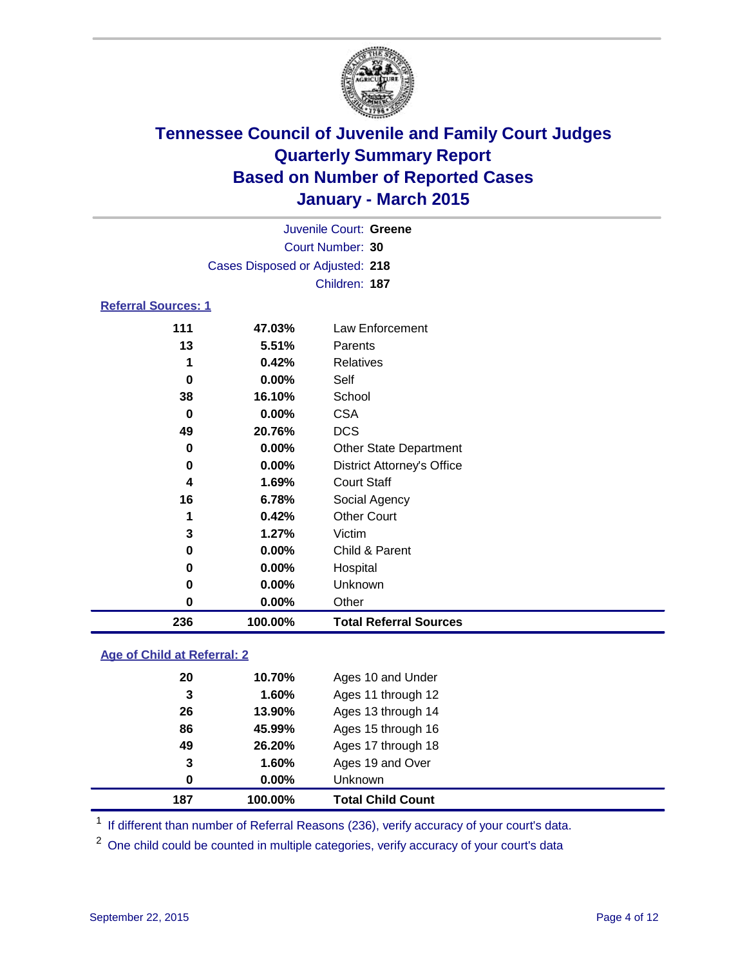

|                            | Juvenile Court: Greene          |                 |
|----------------------------|---------------------------------|-----------------|
|                            | Court Number: 30                |                 |
|                            | Cases Disposed or Adjusted: 218 |                 |
|                            | Children: 187                   |                 |
| <b>Referral Sources: 1</b> |                                 |                 |
| 444                        | 17 N20/                         | Law Enforcement |

### **47.03%** Law Enforcement **5.51%** Parents **0.42%** Relatives **0.00%** Self **16.10%** School **0.00%** CSA **20.76%** DCS **0.00%** Other State Department **0.00%** District Attorney's Office **1.69%** Court Staff **6.78%** Social Agency **0.42%** Other Court **1.27%** Victim **0.00%** Child & Parent **0.00%** Hospital **0.00%** Unknown **0.00%** Other **100.00% Total Referral Sources**

### **Age of Child at Referral: 2**

| 20  | 10.70%   | Ages 10 and Under        |
|-----|----------|--------------------------|
| 3   | 1.60%    | Ages 11 through 12       |
| 26  | 13.90%   | Ages 13 through 14       |
| 86  | 45.99%   | Ages 15 through 16       |
| 49  | 26.20%   | Ages 17 through 18       |
| 3   | 1.60%    | Ages 19 and Over         |
| 0   | $0.00\%$ | <b>Unknown</b>           |
| 187 | 100.00%  | <b>Total Child Count</b> |

<sup>1</sup> If different than number of Referral Reasons (236), verify accuracy of your court's data.

<sup>2</sup> One child could be counted in multiple categories, verify accuracy of your court's data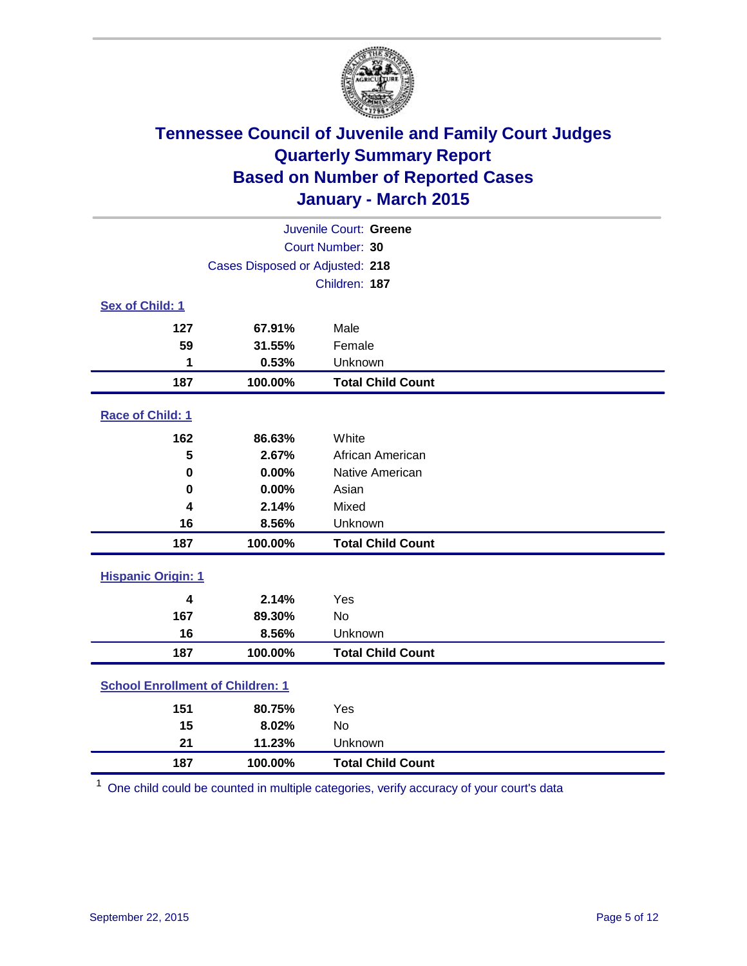

|                                         |                                 | Juvenile Court: Greene   |
|-----------------------------------------|---------------------------------|--------------------------|
|                                         |                                 | Court Number: 30         |
|                                         | Cases Disposed or Adjusted: 218 |                          |
|                                         |                                 | Children: 187            |
| Sex of Child: 1                         |                                 |                          |
| 127                                     | 67.91%                          | Male                     |
| 59                                      | 31.55%                          | Female                   |
| 1                                       | 0.53%                           | Unknown                  |
| 187                                     | 100.00%                         | <b>Total Child Count</b> |
| Race of Child: 1                        |                                 |                          |
| 162                                     | 86.63%                          | White                    |
| 5                                       | 2.67%                           | African American         |
| 0                                       | 0.00%                           | Native American          |
| 0                                       | 0.00%                           | Asian                    |
| 4                                       | 2.14%                           | Mixed                    |
| 16                                      | 8.56%                           | Unknown                  |
| 187                                     | 100.00%                         | <b>Total Child Count</b> |
| <b>Hispanic Origin: 1</b>               |                                 |                          |
| $\overline{\mathbf{4}}$                 | 2.14%                           | Yes                      |
| 167                                     | 89.30%                          | <b>No</b>                |
| 16                                      | 8.56%                           | Unknown                  |
| 187                                     | 100.00%                         | <b>Total Child Count</b> |
| <b>School Enrollment of Children: 1</b> |                                 |                          |
| 151                                     | 80.75%                          | Yes                      |
| 15                                      | 8.02%                           | <b>No</b>                |
| 21                                      | 11.23%                          | Unknown                  |
| 187                                     | 100.00%                         | <b>Total Child Count</b> |

One child could be counted in multiple categories, verify accuracy of your court's data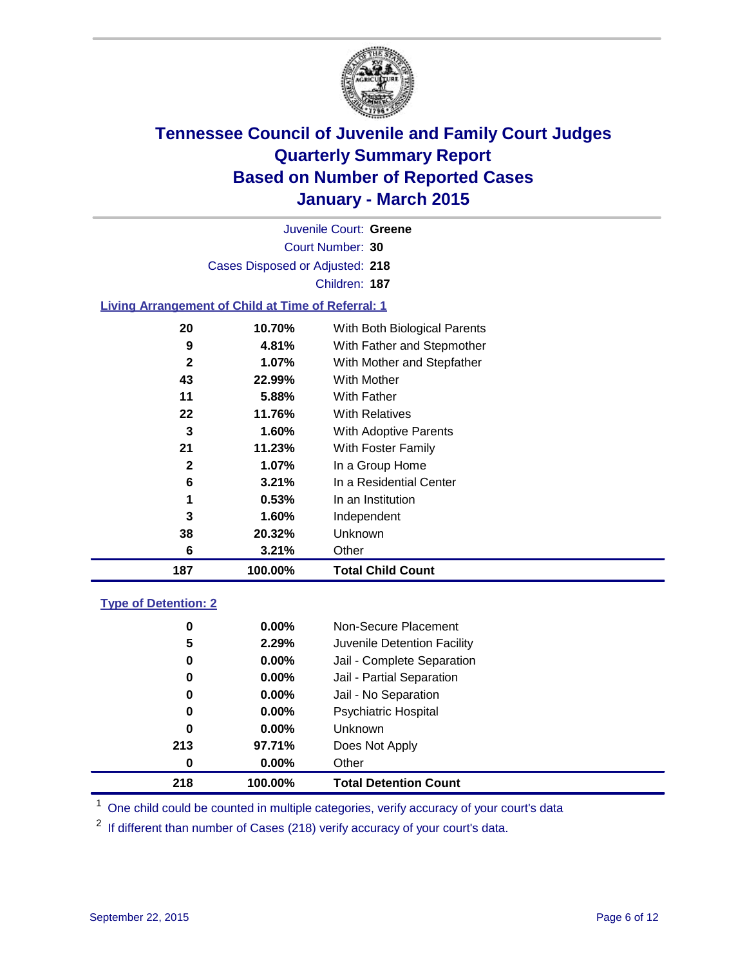

Court Number: **30** Juvenile Court: **Greene** Cases Disposed or Adjusted: **218** Children: **187**

### **Living Arrangement of Child at Time of Referral: 1**

| 187          | 100.00%  | <b>Total Child Count</b>     |
|--------------|----------|------------------------------|
| 6            | 3.21%    | Other                        |
| 38           | 20.32%   | Unknown                      |
| 3            | 1.60%    | Independent                  |
| 1            | 0.53%    | In an Institution            |
| 6            | 3.21%    | In a Residential Center      |
| $\mathbf{2}$ | $1.07\%$ | In a Group Home              |
| 21           | 11.23%   | With Foster Family           |
| 3            | 1.60%    | <b>With Adoptive Parents</b> |
| 22           | 11.76%   | <b>With Relatives</b>        |
| 11           | 5.88%    | With Father                  |
| 43           | 22.99%   | <b>With Mother</b>           |
| $\mathbf{2}$ | 1.07%    | With Mother and Stepfather   |
| 9            | 4.81%    | With Father and Stepmother   |
| 20           | 10.70%   | With Both Biological Parents |
|              |          |                              |

### **Type of Detention: 2**

| 5<br>0<br>0<br>0 | 2.29%<br>$0.00\%$<br>$0.00\%$<br>$0.00\%$ | Juvenile Detention Facility<br>Jail - Complete Separation<br>Jail - Partial Separation<br>Jail - No Separation |  |
|------------------|-------------------------------------------|----------------------------------------------------------------------------------------------------------------|--|
| 0                | $0.00\%$                                  | <b>Psychiatric Hospital</b>                                                                                    |  |
| 0                | $0.00\%$                                  | <b>Unknown</b>                                                                                                 |  |
| 213              | 97.71%                                    | Does Not Apply                                                                                                 |  |
| 0                | $0.00\%$                                  | Other                                                                                                          |  |
| 218              | 100.00%                                   | <b>Total Detention Count</b>                                                                                   |  |

<sup>1</sup> One child could be counted in multiple categories, verify accuracy of your court's data

If different than number of Cases (218) verify accuracy of your court's data.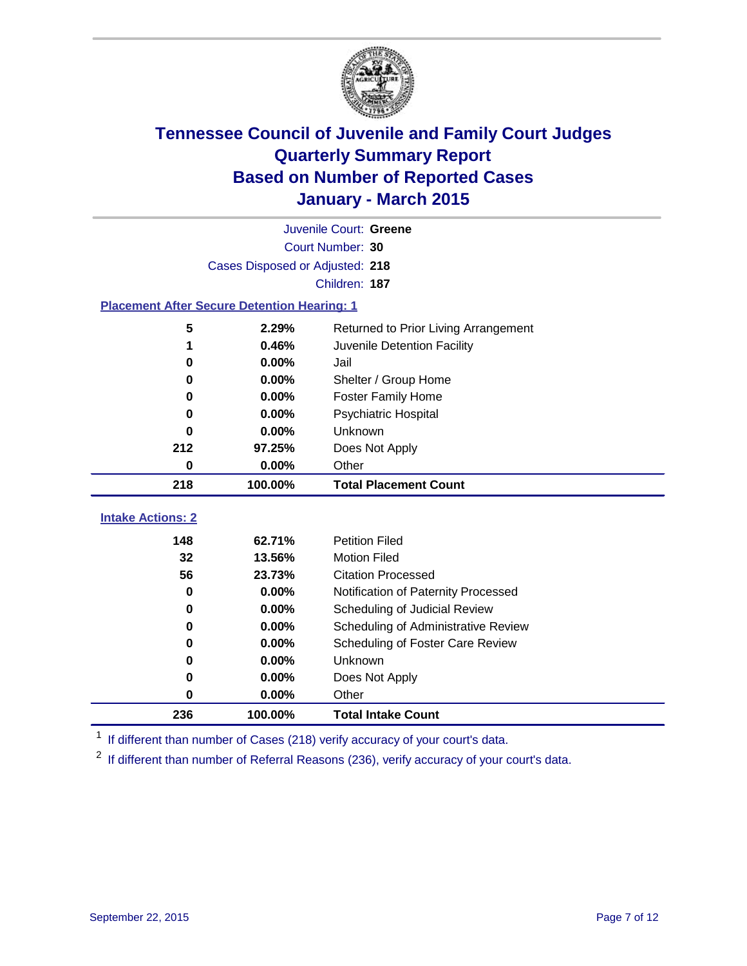

|                                                    |         | Juvenile Court: Greene               |  |  |
|----------------------------------------------------|---------|--------------------------------------|--|--|
|                                                    |         | Court Number: 30                     |  |  |
| Cases Disposed or Adjusted: 218                    |         |                                      |  |  |
|                                                    |         | Children: 187                        |  |  |
| <b>Placement After Secure Detention Hearing: 1</b> |         |                                      |  |  |
| 5                                                  | 2.29%   | Returned to Prior Living Arrangement |  |  |
| 1                                                  | 0.46%   | Juvenile Detention Facility          |  |  |
| 0                                                  | 0.00%   | Jail                                 |  |  |
| 0                                                  | 0.00%   | Shelter / Group Home                 |  |  |
| 0                                                  | 0.00%   | <b>Foster Family Home</b>            |  |  |
| 0                                                  | 0.00%   | <b>Psychiatric Hospital</b>          |  |  |
| 0                                                  | 0.00%   | Unknown                              |  |  |
| 212                                                | 97.25%  | Does Not Apply                       |  |  |
| 0                                                  | 0.00%   | Other                                |  |  |
| 218                                                | 100.00% | <b>Total Placement Count</b>         |  |  |
| <b>Intake Actions: 2</b>                           |         |                                      |  |  |
|                                                    |         |                                      |  |  |
| 148                                                | 62.71%  | <b>Petition Filed</b>                |  |  |
| 32                                                 | 13.56%  | <b>Motion Filed</b>                  |  |  |
| 56                                                 | 23.73%  | <b>Citation Processed</b>            |  |  |
| 0                                                  | 0.00%   | Notification of Paternity Processed  |  |  |
| 0                                                  | 0.00%   | Scheduling of Judicial Review        |  |  |
| 0                                                  | 0.00%   | Scheduling of Administrative Review  |  |  |
| 0                                                  | 0.00%   | Scheduling of Foster Care Review     |  |  |
| 0                                                  | 0.00%   | Unknown                              |  |  |
| 0                                                  | 0.00%   | Does Not Apply                       |  |  |
| 0                                                  | 0.00%   | Other                                |  |  |
| 236                                                | 100.00% | <b>Total Intake Count</b>            |  |  |

<sup>1</sup> If different than number of Cases (218) verify accuracy of your court's data.

<sup>2</sup> If different than number of Referral Reasons (236), verify accuracy of your court's data.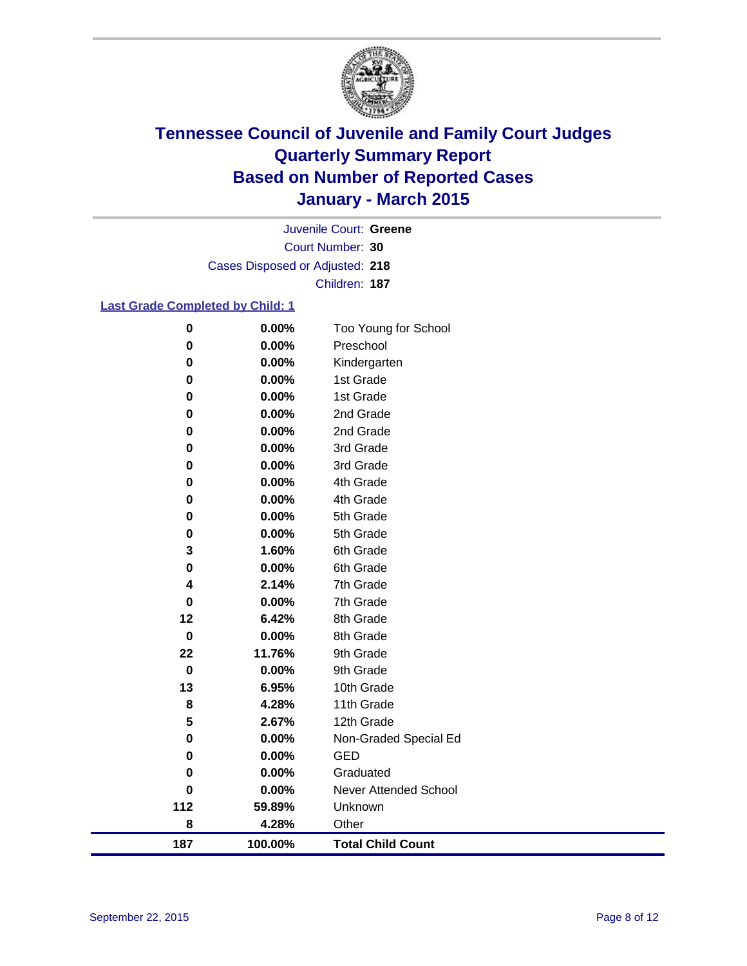

Court Number: **30** Juvenile Court: **Greene** Cases Disposed or Adjusted: **218** Children: **187**

### **Last Grade Completed by Child: 1**

| 187         | 100.00%        | <b>Total Child Count</b>     |
|-------------|----------------|------------------------------|
| 8           | 4.28%          | Other                        |
| 112         | 59.89%         | Unknown                      |
| $\mathbf 0$ | 0.00%          | <b>Never Attended School</b> |
| 0           | 0.00%          | Graduated                    |
| 0           | 0.00%          | <b>GED</b>                   |
| 0           | 0.00%          | Non-Graded Special Ed        |
| 5           | 2.67%          | 12th Grade                   |
| 8           | 4.28%          | 11th Grade                   |
| 13          | 6.95%          | 10th Grade                   |
| $\pmb{0}$   | 0.00%          | 9th Grade                    |
| 22          | 11.76%         | 9th Grade                    |
| $\pmb{0}$   | 0.00%          | 8th Grade                    |
| 12          | 6.42%          | 8th Grade                    |
| 0           | 0.00%          | 7th Grade                    |
| 4           | 2.14%          | 7th Grade                    |
| 0           | 0.00%          | 6th Grade                    |
| 3           | 1.60%          | 6th Grade                    |
| 0<br>0      | 0.00%<br>0.00% | 5th Grade                    |
| 0           | 0.00%          | 4th Grade<br>5th Grade       |
| 0           | 0.00%          | 4th Grade                    |
| 0           | 0.00%          | 3rd Grade                    |
| 0           | 0.00%          | 3rd Grade                    |
| 0           | 0.00%          | 2nd Grade                    |
| 0           | 0.00%          | 2nd Grade                    |
| 0           | 0.00%          | 1st Grade                    |
| 0           | 0.00%          | 1st Grade                    |
| 0           | 0.00%          | Kindergarten                 |
| 0           | 0.00%          | Preschool                    |
| $\pmb{0}$   | 0.00%          | Too Young for School         |
|             |                |                              |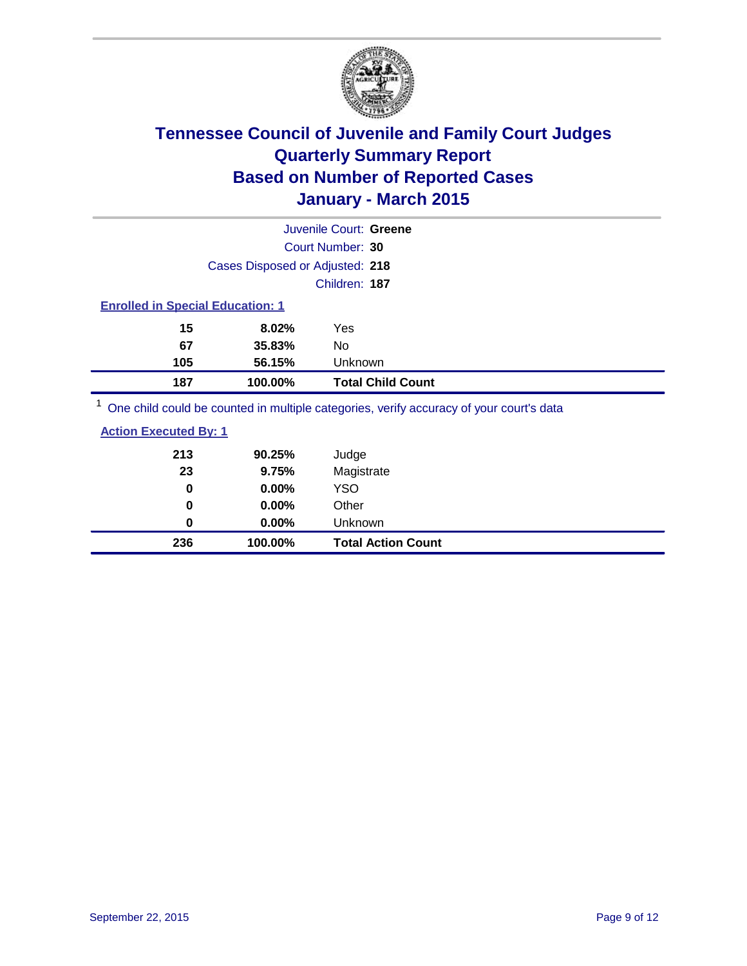

|                                         |                                 | Juvenile Court: Greene                                                                  |
|-----------------------------------------|---------------------------------|-----------------------------------------------------------------------------------------|
|                                         |                                 | Court Number: 30                                                                        |
|                                         | Cases Disposed or Adjusted: 218 |                                                                                         |
|                                         |                                 | Children: 187                                                                           |
| <b>Enrolled in Special Education: 1</b> |                                 |                                                                                         |
| 15                                      | 8.02%                           | Yes                                                                                     |
| 67                                      | 35.83%                          | No                                                                                      |
| 105                                     | 56.15%                          | Unknown                                                                                 |
| 187                                     | 100.00%                         | <b>Total Child Count</b>                                                                |
|                                         |                                 | One child could be counted in multiple categories, verify accuracy of your court's data |

| 236                          | 100.00%  | <b>Total Action Count</b> |
|------------------------------|----------|---------------------------|
| 0                            | 0.00%    | Unknown                   |
| 0                            | $0.00\%$ | Other                     |
| 0                            | 0.00%    | <b>YSO</b>                |
| 23                           | 9.75%    | Magistrate                |
| 213                          | 90.25%   | Judge                     |
| <b>Action Executed By: 1</b> |          |                           |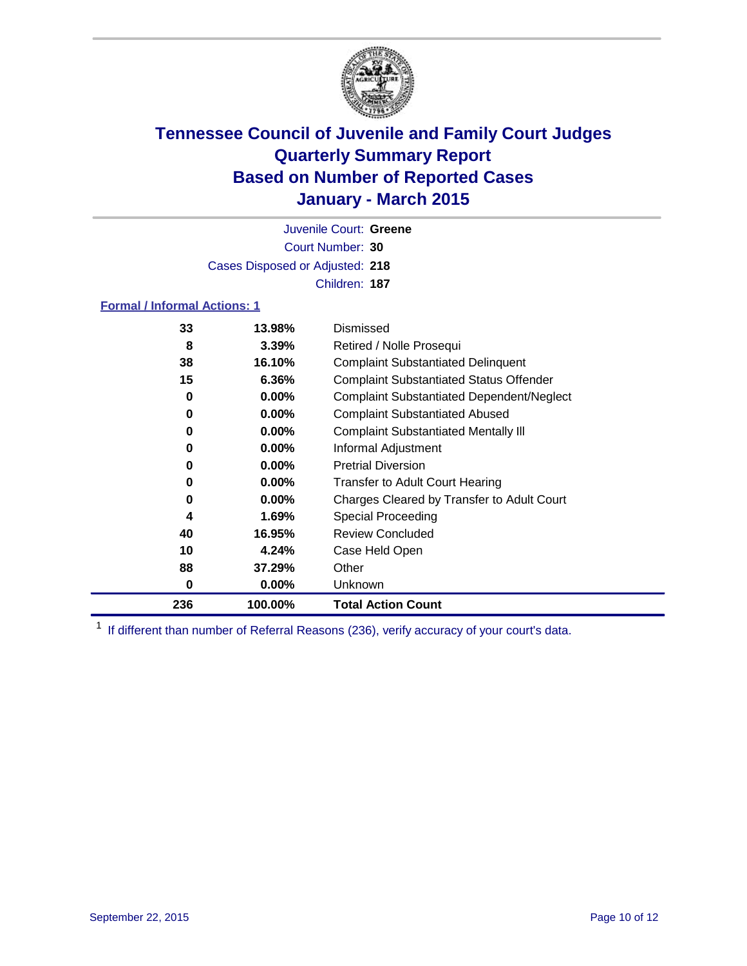

Court Number: **30** Juvenile Court: **Greene** Cases Disposed or Adjusted: **218** Children: **187**

### **Formal / Informal Actions: 1**

| 33  | 13.98%   | Dismissed                                        |
|-----|----------|--------------------------------------------------|
| 8   | 3.39%    | Retired / Nolle Prosequi                         |
| 38  | 16.10%   | <b>Complaint Substantiated Delinquent</b>        |
| 15  | 6.36%    | <b>Complaint Substantiated Status Offender</b>   |
| 0   | $0.00\%$ | <b>Complaint Substantiated Dependent/Neglect</b> |
| 0   | $0.00\%$ | <b>Complaint Substantiated Abused</b>            |
| 0   | $0.00\%$ | <b>Complaint Substantiated Mentally III</b>      |
| 0   | $0.00\%$ | Informal Adjustment                              |
| 0   | $0.00\%$ | <b>Pretrial Diversion</b>                        |
| 0   | $0.00\%$ | <b>Transfer to Adult Court Hearing</b>           |
| 0   | $0.00\%$ | Charges Cleared by Transfer to Adult Court       |
| 4   | 1.69%    | Special Proceeding                               |
| 40  | 16.95%   | <b>Review Concluded</b>                          |
| 10  | 4.24%    | Case Held Open                                   |
| 88  | 37.29%   | Other                                            |
| 0   | $0.00\%$ | <b>Unknown</b>                                   |
| 236 | 100.00%  | <b>Total Action Count</b>                        |

<sup>1</sup> If different than number of Referral Reasons (236), verify accuracy of your court's data.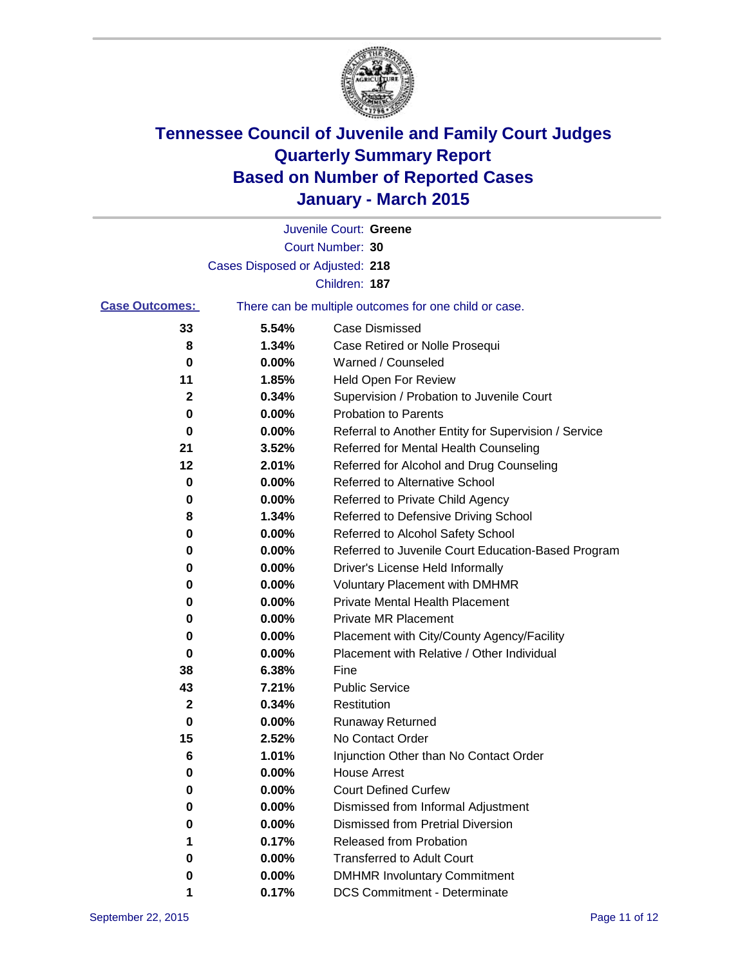

|                       |                                 | Juvenile Court: Greene                                |
|-----------------------|---------------------------------|-------------------------------------------------------|
|                       |                                 | Court Number: 30                                      |
|                       | Cases Disposed or Adjusted: 218 |                                                       |
|                       |                                 | Children: 187                                         |
| <b>Case Outcomes:</b> |                                 | There can be multiple outcomes for one child or case. |
| 33                    | 5.54%                           | Case Dismissed                                        |
| 8                     | 1.34%                           | Case Retired or Nolle Prosequi                        |
| 0                     | 0.00%                           | Warned / Counseled                                    |
| 11                    | 1.85%                           | Held Open For Review                                  |
| 2                     | 0.34%                           | Supervision / Probation to Juvenile Court             |
| 0                     | 0.00%                           | <b>Probation to Parents</b>                           |
| 0                     | 0.00%                           | Referral to Another Entity for Supervision / Service  |
| 21                    | 3.52%                           | Referred for Mental Health Counseling                 |
| 12                    | 2.01%                           | Referred for Alcohol and Drug Counseling              |
| 0                     | 0.00%                           | <b>Referred to Alternative School</b>                 |
| 0                     | 0.00%                           | Referred to Private Child Agency                      |
| 8                     | 1.34%                           | Referred to Defensive Driving School                  |
| 0                     | 0.00%                           | Referred to Alcohol Safety School                     |
| 0                     | 0.00%                           | Referred to Juvenile Court Education-Based Program    |
| 0                     | 0.00%                           | Driver's License Held Informally                      |
| 0                     | 0.00%                           | <b>Voluntary Placement with DMHMR</b>                 |
| 0                     | 0.00%                           | <b>Private Mental Health Placement</b>                |
| 0                     | 0.00%                           | <b>Private MR Placement</b>                           |
| 0                     | 0.00%                           | Placement with City/County Agency/Facility            |
| 0                     | 0.00%                           | Placement with Relative / Other Individual            |
| 38                    | 6.38%                           | Fine                                                  |
| 43                    | 7.21%                           | <b>Public Service</b>                                 |
| 2                     | 0.34%                           | Restitution                                           |
| 0                     | 0.00%                           | <b>Runaway Returned</b>                               |
| 15                    | 2.52%                           | No Contact Order                                      |
| 6                     | 1.01%                           | Injunction Other than No Contact Order                |
| 0                     | 0.00%                           | <b>House Arrest</b>                                   |
| 0                     | 0.00%                           | <b>Court Defined Curfew</b>                           |
| 0                     | 0.00%                           | Dismissed from Informal Adjustment                    |
| 0                     | 0.00%                           | <b>Dismissed from Pretrial Diversion</b>              |
| 1                     | 0.17%                           | Released from Probation                               |
| 0                     | 0.00%                           | <b>Transferred to Adult Court</b>                     |
| 0                     | 0.00%                           | <b>DMHMR Involuntary Commitment</b>                   |
|                       | 0.17%                           | <b>DCS Commitment - Determinate</b>                   |